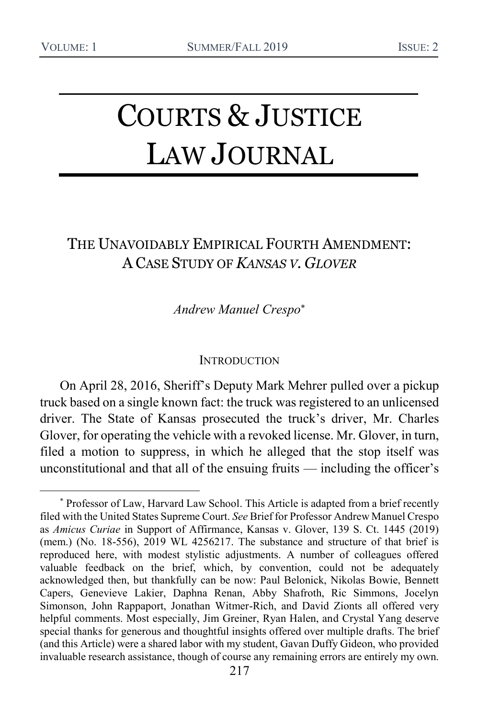# COURTS & JUSTICE LAW JOURNAL

## THE UNAVOIDABLY EMPIRICAL FOURTH AMENDMENT: A CASE STUDY OF *KANSAS V. GLOVER*

*Andrew Manuel Crespo*

#### **INTRODUCTION**

On April 28, 2016, Sheriff's Deputy Mark Mehrer pulled over a pickup truck based on a single known fact: the truck was registered to an unlicensed driver. The State of Kansas prosecuted the truck's driver, Mr. Charles Glover, for operating the vehicle with a revoked license. Mr. Glover, in turn, filed a motion to suppress, in which he alleged that the stop itself was unconstitutional and that all of the ensuing fruits — including the officer's

<sup>\*</sup> Professor of Law, Harvard Law School. This Article is adapted from a brief recently filed with the United States Supreme Court. *See* Brief for Professor Andrew Manuel Crespo as *Amicus Curiae* in Support of Affirmance, Kansas v. Glover, 139 S. Ct. 1445 (2019) (mem.) (No. 18-556), 2019 WL 4256217. The substance and structure of that brief is reproduced here, with modest stylistic adjustments. A number of colleagues offered valuable feedback on the brief, which, by convention, could not be adequately acknowledged then, but thankfully can be now: Paul Belonick, Nikolas Bowie, Bennett Capers, Genevieve Lakier, Daphna Renan, Abby Shafroth, Ric Simmons, Jocelyn Simonson, John Rappaport, Jonathan Witmer-Rich, and David Zionts all offered very helpful comments. Most especially, Jim Greiner, Ryan Halen, and Crystal Yang deserve special thanks for generous and thoughtful insights offered over multiple drafts. The brief (and this Article) were a shared labor with my student, Gavan Duffy Gideon, who provided invaluable research assistance, though of course any remaining errors are entirely my own.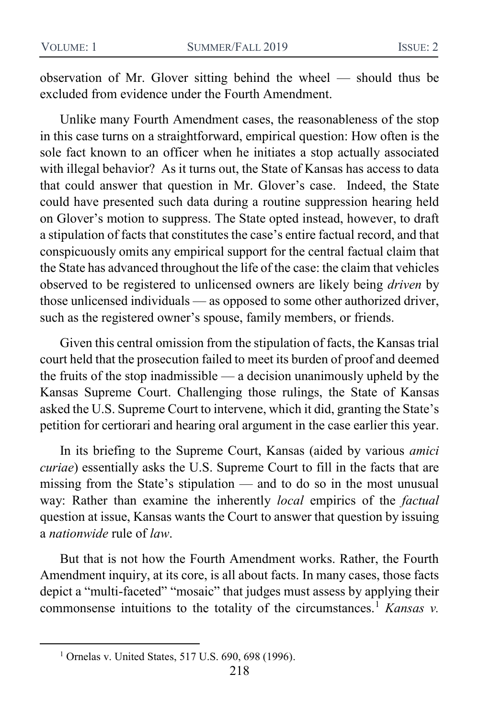observation of Mr. Glover sitting behind the wheel — should thus be excluded from evidence under the Fourth Amendment.

Unlike many Fourth Amendment cases, the reasonableness of the stop in this case turns on a straightforward, empirical question: How often is the sole fact known to an officer when he initiates a stop actually associated with illegal behavior? As it turns out, the State of Kansas has access to data that could answer that question in Mr. Glover's case. Indeed, the State could have presented such data during a routine suppression hearing held on Glover's motion to suppress. The State opted instead, however, to draft a stipulation of facts that constitutes the case's entire factual record, and that conspicuously omits any empirical support for the central factual claim that the State has advanced throughout the life of the case: the claim that vehicles observed to be registered to unlicensed owners are likely being *driven* by those unlicensed individuals — as opposed to some other authorized driver, such as the registered owner's spouse, family members, or friends.

Given this central omission from the stipulation of facts, the Kansas trial court held that the prosecution failed to meet its burden of proof and deemed the fruits of the stop inadmissible — a decision unanimously upheld by the Kansas Supreme Court. Challenging those rulings, the State of Kansas asked the U.S. Supreme Court to intervene, which it did, granting the State's petition for certiorari and hearing oral argument in the case earlier this year.

In its briefing to the Supreme Court, Kansas (aided by various *amici curiae*) essentially asks the U.S. Supreme Court to fill in the facts that are missing from the State's stipulation — and to do so in the most unusual way: Rather than examine the inherently *local* empirics of the *factual*  question at issue, Kansas wants the Court to answer that question by issuing a *nationwide* rule of *law*.

But that is not how the Fourth Amendment works. Rather, the Fourth Amendment inquiry, at its core, is all about facts. In many cases, those facts depict a "multi-faceted" "mosaic" that judges must assess by applying their commonsense intuitions to the totality of the circumstances.<sup>1</sup> *Kansas v.* 

<sup>&</sup>lt;sup>1</sup> Ornelas v. United States, 517 U.S. 690, 698 (1996).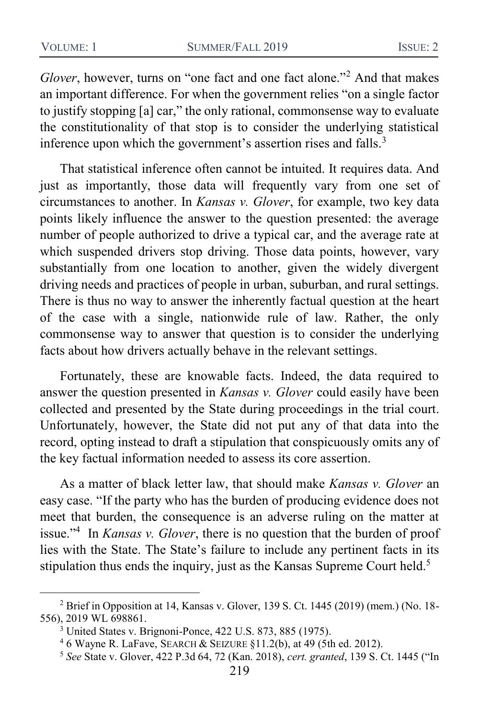*Glover*, however, turns on "one fact and one fact alone."<sup>2</sup> And that makes an important difference. For when the government relies "on a single factor to justify stopping [a] car," the only rational, commonsense way to evaluate the constitutionality of that stop is to consider the underlying statistical inference upon which the government's assertion rises and falls. $3$ 

That statistical inference often cannot be intuited. It requires data. And just as importantly, those data will frequently vary from one set of circumstances to another. In *Kansas v. Glover*, for example, two key data points likely influence the answer to the question presented: the average number of people authorized to drive a typical car, and the average rate at which suspended drivers stop driving. Those data points, however, vary substantially from one location to another, given the widely divergent driving needs and practices of people in urban, suburban, and rural settings. There is thus no way to answer the inherently factual question at the heart of the case with a single, nationwide rule of law. Rather, the only commonsense way to answer that question is to consider the underlying facts about how drivers actually behave in the relevant settings.

Fortunately, these are knowable facts. Indeed, the data required to answer the question presented in *Kansas v. Glover* could easily have been collected and presented by the State during proceedings in the trial court. Unfortunately, however, the State did not put any of that data into the record, opting instead to draft a stipulation that conspicuously omits any of the key factual information needed to assess its core assertion.

As a matter of black letter law, that should make *Kansas v. Glover* an easy case. "If the party who has the burden of producing evidence does not meet that burden, the consequence is an adverse ruling on the matter at issue."<sup>4</sup> In *Kansas v. Glover*, there is no question that the burden of proof lies with the State. The State's failure to include any pertinent facts in its stipulation thus ends the inquiry, just as the Kansas Supreme Court held.<sup>5</sup>

<sup>2</sup> Brief in Opposition at 14, Kansas v. Glover, 139 S. Ct. 1445 (2019) (mem.) (No. 18- 556), 2019 WL 698861.

<sup>3</sup> United States v. Brignoni-Ponce, 422 U.S. 873, 885 (1975).

<sup>4</sup> 6 Wayne R. LaFave, SEARCH & SEIZURE §11.2(b), at 49 (5th ed. 2012).

<sup>5</sup> *See* State v. Glover, 422 P.3d 64, 72 (Kan. 2018), *cert. granted*, 139 S. Ct. 1445 ("In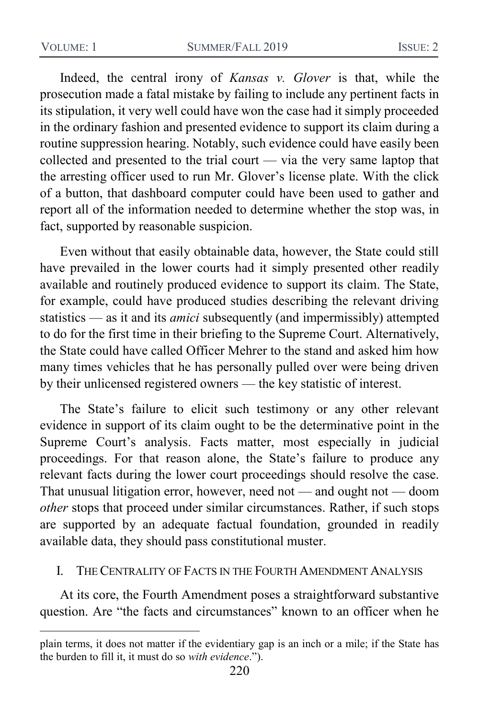Indeed, the central irony of *Kansas v. Glover* is that, while the prosecution made a fatal mistake by failing to include any pertinent facts in its stipulation, it very well could have won the case had it simply proceeded in the ordinary fashion and presented evidence to support its claim during a routine suppression hearing. Notably, such evidence could have easily been collected and presented to the trial court — via the very same laptop that the arresting officer used to run Mr. Glover's license plate. With the click of a button, that dashboard computer could have been used to gather and report all of the information needed to determine whether the stop was, in fact, supported by reasonable suspicion.

Even without that easily obtainable data, however, the State could still have prevailed in the lower courts had it simply presented other readily available and routinely produced evidence to support its claim. The State, for example, could have produced studies describing the relevant driving statistics — as it and its *amici* subsequently (and impermissibly) attempted to do for the first time in their briefing to the Supreme Court. Alternatively, the State could have called Officer Mehrer to the stand and asked him how many times vehicles that he has personally pulled over were being driven by their unlicensed registered owners — the key statistic of interest.

The State's failure to elicit such testimony or any other relevant evidence in support of its claim ought to be the determinative point in the Supreme Court's analysis. Facts matter, most especially in judicial proceedings. For that reason alone, the State's failure to produce any relevant facts during the lower court proceedings should resolve the case. That unusual litigation error, however, need not — and ought not — doom *other* stops that proceed under similar circumstances. Rather, if such stops are supported by an adequate factual foundation, grounded in readily available data, they should pass constitutional muster.

#### I. THE CENTRALITY OF FACTS IN THE FOURTH AMENDMENT ANALYSIS

At its core, the Fourth Amendment poses a straightforward substantive question. Are "the facts and circumstances" known to an officer when he

plain terms, it does not matter if the evidentiary gap is an inch or a mile; if the State has the burden to fill it, it must do so *with evidence*.").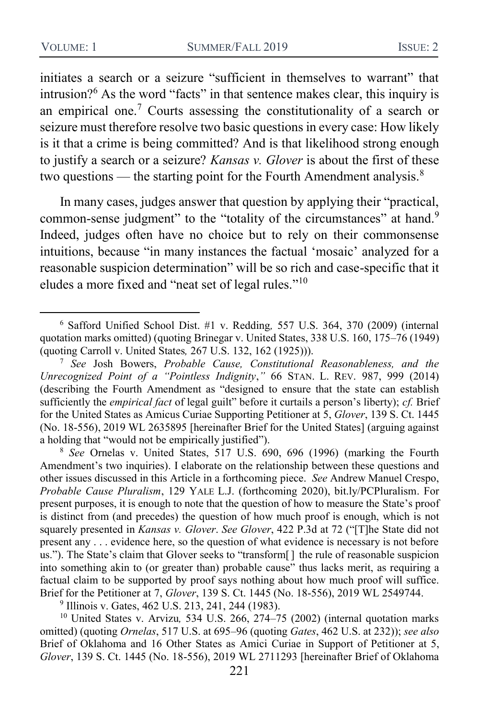<span id="page-4-3"></span><span id="page-4-2"></span>initiates a search or a seizure "sufficient in themselves to warrant" that intrusion? $6$  As the word "facts" in that sentence makes clear, this inquiry is an empirical one.<sup>7</sup> Courts assessing the constitutionality of a search or seizure must therefore resolve two basic questions in every case: How likely is it that a crime is being committed? And is that likelihood strong enough to justify a search or a seizure? *Kansas v. Glover* is about the first of these two questions — the starting point for the Fourth Amendment analysis. $8$ 

<span id="page-4-0"></span>In many cases, judges answer that question by applying their "practical, common-sense judgment" to the "totality of the circumstances" at hand.<sup>9</sup> Indeed, judges often have no choice but to rely on their commonsense intuitions, because "in many instances the factual 'mosaic' analyzed for a reasonable suspicion determination" will be so rich and case-specific that it eludes a more fixed and "neat set of legal rules."<sup>10</sup>

<sup>8</sup> *See* Ornelas v. United States, 517 U.S. 690, 696 (1996) (marking the Fourth Amendment's two inquiries). I elaborate on the relationship between these questions and other issues discussed in this Article in a forthcoming piece. *See* Andrew Manuel Crespo, *Probable Cause Pluralism*, 129 YALE L.J. (forthcoming 2020), bit.ly/PCPluralism. For present purposes, it is enough to note that the question of how to measure the State's proof is distinct from (and precedes) the question of how much proof is enough, which is not squarely presented in *Kansas v. Glover*. *See Glover*, 422 P.3d at 72 ("[T]he State did not present any . . . evidence here, so the question of what evidence is necessary is not before us."). The State's claim that Glover seeks to "transform[ ] the rule of reasonable suspicion into something akin to (or greater than) probable cause" thus lacks merit, as requiring a factual claim to be supported by proof says nothing about how much proof will suffice. Brief for the Petitioner at 7, *Glover*, 139 S. Ct. 1445 (No. 18-556), 2019 WL 2549744.

<sup>9</sup> Illinois v. Gates, 462 U.S. 213, 241, 244 (1983).

<sup>10</sup> United States v. Arvizu*,* 534 U.S. 266, 274–75 (2002) (internal quotation marks omitted) (quoting *Ornelas*, 517 U.S. at 695–96 (quoting *Gates*, 462 U.S. at 232)); *see also*  Brief of Oklahoma and 16 Other States as Amici Curiae in Support of Petitioner at 5, *Glover*, 139 S. Ct. 1445 (No. 18-556), 2019 WL 2711293 [hereinafter Brief of Oklahoma

<span id="page-4-1"></span><sup>6</sup> Safford Unified School Dist. #1 v. Redding*,* 557 U.S. 364, 370 (2009) (internal quotation marks omitted) (quoting Brinegar v. United States, 338 U.S. 160, 175–76 (1949) (quoting Carroll v. United States*,* 267 U.S. 132, 162 (1925))).

<sup>7</sup> *See* Josh Bowers, *Probable Cause, Constitutional Reasonableness, and the Unrecognized Point of a "Pointless Indignity*,*"* 66 STAN. L. REV. 987, 999 (2014) (describing the Fourth Amendment as "designed to ensure that the state can establish sufficiently the *empirical fact* of legal guilt" before it curtails a person's liberty); *cf.* Brief for the United States as Amicus Curiae Supporting Petitioner at 5, *Glover*, 139 S. Ct. 1445 (No. 18-556), 2019 WL 2635895 [hereinafter Brief for the United States] (arguing against a holding that "would not be empirically justified").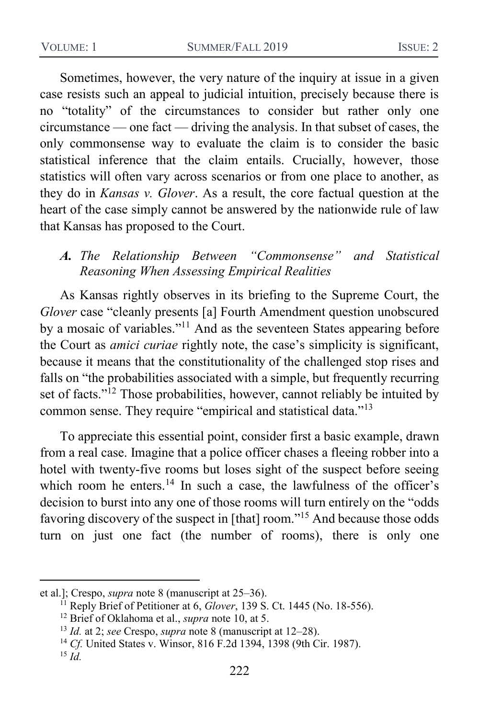Sometimes, however, the very nature of the inquiry at issue in a given case resists such an appeal to judicial intuition, precisely because there is no "totality" of the circumstances to consider but rather only one circumstance — one fact — driving the analysis. In that subset of cases, the only commonsense way to evaluate the claim is to consider the basic statistical inference that the claim entails. Crucially, however, those statistics will often vary across scenarios or from one place to another, as they do in *Kansas v. Glover*. As a result, the core factual question at the heart of the case simply cannot be answered by the nationwide rule of law that Kansas has proposed to the Court.

#### *A. The Relationship Between "Commonsense" and Statistical Reasoning When Assessing Empirical Realities*

As Kansas rightly observes in its briefing to the Supreme Court, the *Glover* case "cleanly presents [a] Fourth Amendment question unobscured by a mosaic of variables."<sup>11</sup> And as the seventeen States appearing before the Court as *amici curiae* rightly note, the case's simplicity is significant, because it means that the constitutionality of the challenged stop rises and falls on "the probabilities associated with a simple, but frequently recurring set of facts."<sup>12</sup> Those probabilities, however, cannot reliably be intuited by common sense. They require "empirical and statistical data."<sup>13</sup>

To appreciate this essential point, consider first a basic example, drawn from a real case. Imagine that a police officer chases a fleeing robber into a hotel with twenty-five rooms but loses sight of the suspect before seeing which room he enters.<sup>14</sup> In such a case, the lawfulness of the officer's decision to burst into any one of those rooms will turn entirely on the "odds favoring discovery of the suspect in [that] room."<sup>15</sup> And because those odds turn on just one fact (the number of rooms), there is only one

et al.]; Crespo, *supra* note [8](#page-4-0) (manuscript at 25–36).

<sup>11</sup> Reply Brief of Petitioner at 6, *Glover*, 139 S. Ct. 1445 (No. 18-556).

<sup>12</sup> Brief of Oklahoma et al., *supra* note [10,](#page-4-1) at 5.

<sup>13</sup> *Id.* at 2; *see* Crespo, *supra* note [8](#page-4-0) (manuscript at 12–28).

<sup>14</sup> *Cf.* United States v. Winsor, 816 F.2d 1394, 1398 (9th Cir. 1987).

<sup>15</sup> *Id.*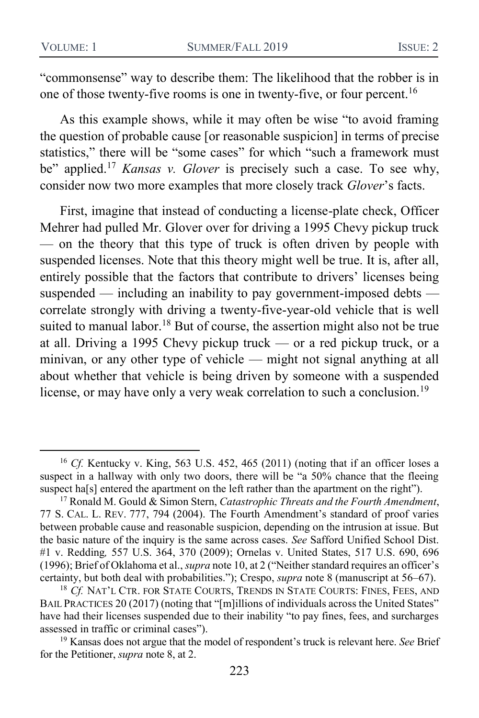"commonsense" way to describe them: The likelihood that the robber is in one of those twenty-five rooms is one in twenty-five, or four percent.<sup>16</sup>

As this example shows, while it may often be wise "to avoid framing the question of probable cause [or reasonable suspicion] in terms of precise statistics," there will be "some cases" for which "such a framework must be" applied.<sup>17</sup> *Kansas v. Glover* is precisely such a case. To see why, consider now two more examples that more closely track *Glover*'s facts.

<span id="page-6-0"></span>First, imagine that instead of conducting a license-plate check, Officer Mehrer had pulled Mr. Glover over for driving a 1995 Chevy pickup truck — on the theory that this type of truck is often driven by people with suspended licenses. Note that this theory might well be true. It is, after all, entirely possible that the factors that contribute to drivers' licenses being suspended — including an inability to pay government-imposed debts correlate strongly with driving a twenty-five-year-old vehicle that is well suited to manual labor.<sup>18</sup> But of course, the assertion might also not be true at all. Driving a 1995 Chevy pickup truck — or a red pickup truck, or a minivan, or any other type of vehicle — might not signal anything at all about whether that vehicle is being driven by someone with a suspended license, or may have only a very weak correlation to such a conclusion.<sup>19</sup>

<sup>16</sup> *Cf.* Kentucky v. King, 563 U.S. 452, 465 (2011) (noting that if an officer loses a suspect in a hallway with only two doors, there will be "a 50% chance that the fleeing suspect ha[s] entered the apartment on the left rather than the apartment on the right").

<sup>17</sup> Ronald M. Gould & Simon Stern, *Catastrophic Threats and the Fourth Amendment*, 77 S. CAL. L. REV. 777, 794 (2004). The Fourth Amendment's standard of proof varies between probable cause and reasonable suspicion, depending on the intrusion at issue. But the basic nature of the inquiry is the same across cases. *See* Safford Unified School Dist. #1 v. Redding*,* 557 U.S. 364, 370 (2009); Ornelas v. United States, 517 U.S. 690, 696 (1996); Brief of Oklahoma et al., *supra* not[e 10,](#page-4-1) at 2 ("Neither standard requires an officer's certainty, but both deal with probabilities."); Crespo, *supra* note [8](#page-4-0) (manuscript at 56–67).

<sup>&</sup>lt;sup>18</sup> *Cf.* NAT'L CTR. FOR STATE COURTS, TRENDS IN STATE COURTS: FINES, FEES, AND BAIL PRACTICES 20 (2017) (noting that "[m]illions of individuals across the United States" have had their licenses suspended due to their inability "to pay fines, fees, and surcharges assessed in traffic or criminal cases").

<sup>19</sup> Kansas does not argue that the model of respondent's truck is relevant here. *See* Brief for the Petitioner, *supra* not[e 8,](#page-4-0) at 2.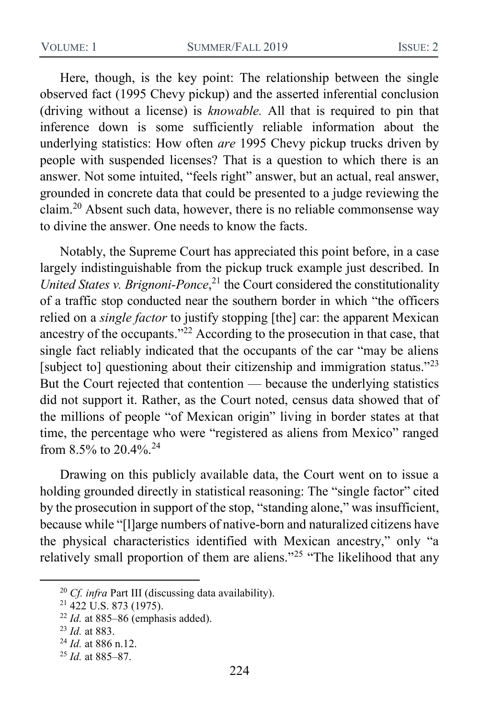Here, though, is the key point: The relationship between the single observed fact (1995 Chevy pickup) and the asserted inferential conclusion (driving without a license) is *knowable.* All that is required to pin that inference down is some sufficiently reliable information about the underlying statistics: How often *are* 1995 Chevy pickup trucks driven by people with suspended licenses? That is a question to which there is an answer. Not some intuited, "feels right" answer, but an actual, real answer, grounded in concrete data that could be presented to a judge reviewing the claim.<sup>20</sup> Absent such data, however, there is no reliable commonsense way to divine the answer. One needs to know the facts.

Notably, the Supreme Court has appreciated this point before, in a case largely indistinguishable from the pickup truck example just described. In *United States v. Brignoni-Ponce*, <sup>21</sup> the Court considered the constitutionality of a traffic stop conducted near the southern border in which "the officers relied on a *single factor* to justify stopping [the] car: the apparent Mexican ancestry of the occupants."<sup>22</sup> According to the prosecution in that case, that single fact reliably indicated that the occupants of the car "may be aliens [subject to] questioning about their citizenship and immigration status."<sup>23</sup> But the Court rejected that contention — because the underlying statistics did not support it. Rather, as the Court noted, census data showed that of the millions of people "of Mexican origin" living in border states at that time, the percentage who were "registered as aliens from Mexico" ranged from  $8.5\%$  to  $20.4\%$ <sup>24</sup>

Drawing on this publicly available data, the Court went on to issue a holding grounded directly in statistical reasoning: The "single factor" cited by the prosecution in support of the stop, "standing alone," was insufficient, because while "[l]arge numbers of native-born and naturalized citizens have the physical characteristics identified with Mexican ancestry," only "a relatively small proportion of them are aliens."<sup>25</sup> "The likelihood that any

<sup>20</sup> *Cf. infra* Part III (discussing data availability).

 $21\overline{422}$  U.S. 873 (1975).

<sup>22</sup> *Id.* at 885–86 (emphasis added).

<sup>23</sup> *Id.* at 883.

<sup>24</sup> *Id.* at 886 n.12.

<sup>25</sup> *Id.* at 885–87.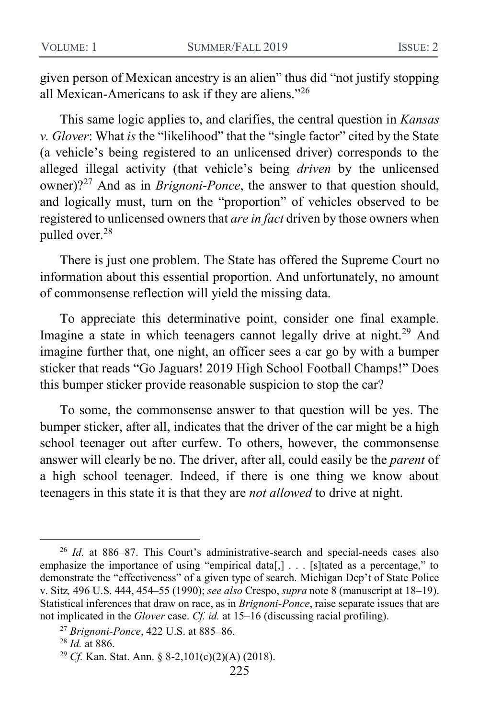given person of Mexican ancestry is an alien" thus did "not justify stopping all Mexican-Americans to ask if they are aliens."<sup>26</sup>

This same logic applies to, and clarifies, the central question in *Kansas v. Glover*: What *is* the "likelihood" that the "single factor" cited by the State (a vehicle's being registered to an unlicensed driver) corresponds to the alleged illegal activity (that vehicle's being *driven* by the unlicensed owner)?<sup>27</sup> And as in *Brignoni-Ponce*, the answer to that question should, and logically must, turn on the "proportion" of vehicles observed to be registered to unlicensed owners that *are in fact* driven by those owners when pulled over.<sup>28</sup>

There is just one problem. The State has offered the Supreme Court no information about this essential proportion. And unfortunately, no amount of commonsense reflection will yield the missing data.

To appreciate this determinative point, consider one final example. Imagine a state in which teenagers cannot legally drive at night.<sup>29</sup> And imagine further that, one night, an officer sees a car go by with a bumper sticker that reads "Go Jaguars! 2019 High School Football Champs!" Does this bumper sticker provide reasonable suspicion to stop the car?

To some, the commonsense answer to that question will be yes. The bumper sticker, after all, indicates that the driver of the car might be a high school teenager out after curfew. To others, however, the commonsense answer will clearly be no. The driver, after all, could easily be the *parent* of a high school teenager. Indeed, if there is one thing we know about teenagers in this state it is that they are *not allowed* to drive at night.

<sup>26</sup> *Id.* at 886–87. This Court's administrative-search and special-needs cases also emphasize the importance of using "empirical data[,]  $\ldots$  [s] tated as a percentage," to demonstrate the "effectiveness" of a given type of search. Michigan Dep't of State Police v. Sitz*,* 496 U.S. 444, 454–55 (1990); *see also* Crespo, *supra* not[e 8](#page-4-0) (manuscript at 18–19). Statistical inferences that draw on race, as in *Brignoni-Ponce*, raise separate issues that are not implicated in the *Glover* case. *Cf. id.* at 15–16 (discussing racial profiling).

<sup>27</sup> *Brignoni-Ponce*, 422 U.S. at 885–86.

<sup>28</sup> *Id.* at 886.

<sup>29</sup> *Cf.* Kan. Stat. Ann. § 8-2,101(c)(2)(A) (2018).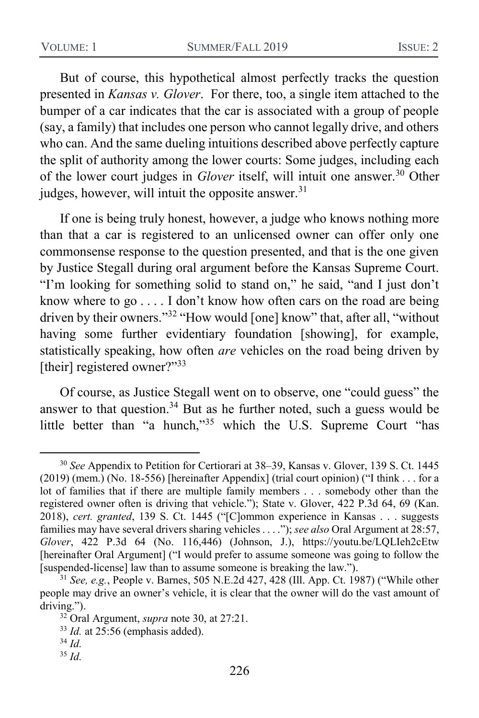But of course, this hypothetical almost perfectly tracks the question presented in *Kansas v. Glover*. For there, too, a single item attached to the bumper of a car indicates that the car is associated with a group of people (say, a family) that includes one person who cannot legally drive, and others who can. And the same dueling intuitions described above perfectly capture the split of authority among the lower courts: Some judges, including each of the lower court judges in *Glover* itself, will intuit one answer.<sup>30</sup> Other judges, however, will intuit the opposite answer.<sup>31</sup>

<span id="page-9-0"></span>If one is being truly honest, however, a judge who knows nothing more than that a car is registered to an unlicensed owner can offer only one commonsense response to the question presented, and that is the one given by Justice Stegall during oral argument before the Kansas Supreme Court. "I'm looking for something solid to stand on," he said, "and I just don't know where to go . . . . I don't know how often cars on the road are being driven by their owners."<sup>32</sup> "How would [one] know" that, after all, "without having some further evidentiary foundation [showing], for example, statistically speaking, how often *are* vehicles on the road being driven by [their] registered owner?"<sup>33</sup>

Of course, as Justice Stegall went on to observe, one "could guess" the answer to that question.<sup>34</sup> But as he further noted, such a guess would be little better than "a hunch,"<sup>35</sup> which the U.S. Supreme Court "has

<sup>30</sup> *See* Appendix to Petition for Certiorari at 38–39, Kansas v. Glover, 139 S. Ct. 1445 (2019) (mem.) (No. 18-556) [hereinafter Appendix] (trial court opinion) ("I think . . . for a lot of families that if there are multiple family members . . . somebody other than the registered owner often is driving that vehicle."); State v. Glover, 422 P.3d 64, 69 (Kan. 2018), *cert. granted*, 139 S. Ct. 1445 ("[C]ommon experience in Kansas . . . suggests families may have several drivers sharing vehicles . . . ."); *see also* Oral Argument at 28:57, *Glover*, 422 P.3d 64 (No. 116,446) (Johnson, J.), https://youtu.be/LQLIeh2cEtw [hereinafter Oral Argument] ("I would prefer to assume someone was going to follow the [suspended-license] law than to assume someone is breaking the law.").

<sup>31</sup> *See, e.g.*, People v. Barnes, 505 N.E.2d 427, 428 (Ill. App. Ct. 1987) ("While other people may drive an owner's vehicle, it is clear that the owner will do the vast amount of driving.").

<sup>32</sup> Oral Argument, *supra* note [30,](#page-9-0) at 27:21.

<sup>33</sup> *Id.* at 25:56 (emphasis added).

<sup>34</sup> *Id.*

<sup>35</sup> *Id.*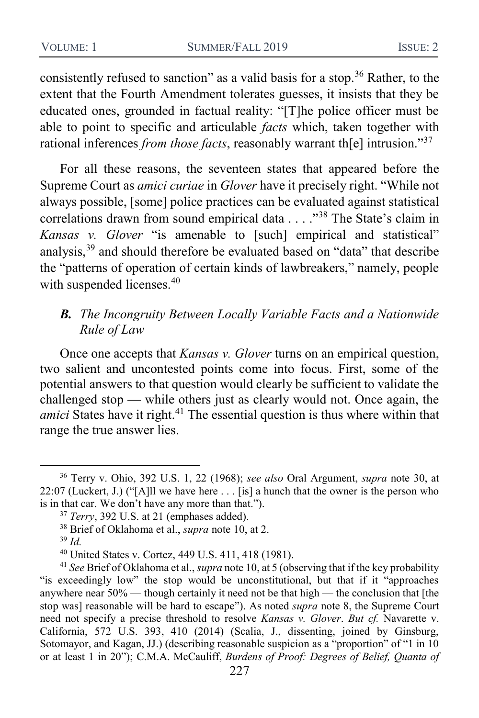consistently refused to sanction" as a valid basis for a stop.<sup>36</sup> Rather, to the extent that the Fourth Amendment tolerates guesses, it insists that they be educated ones, grounded in factual reality: "[T]he police officer must be able to point to specific and articulable *facts* which, taken together with rational inferences *from those facts*, reasonably warrant th[e] intrusion."<sup>37</sup>

For all these reasons, the seventeen states that appeared before the Supreme Court as *amici curiae* in *Glover* have it precisely right. "While not always possible, [some] police practices can be evaluated against statistical correlations drawn from sound empirical data . . . . "<sup>38</sup> The State's claim in *Kansas v. Glover* "is amenable to [such] empirical and statistical" analysis,<sup>39</sup> and should therefore be evaluated based on "data" that describe the "patterns of operation of certain kinds of lawbreakers," namely, people with suspended licenses.<sup>40</sup>

### *B. The Incongruity Between Locally Variable Facts and a Nationwide Rule of Law*

<span id="page-10-0"></span>Once one accepts that *Kansas v. Glover* turns on an empirical question, two salient and uncontested points come into focus. First, some of the potential answers to that question would clearly be sufficient to validate the challenged stop — while others just as clearly would not. Once again, the *amici* States have it right.<sup>41</sup> The essential question is thus where within that range the true answer lies.

<sup>36</sup> Terry v. Ohio, 392 U.S. 1, 22 (1968); *see also* Oral Argument, *supra* note [30,](#page-9-0) at 22:07 (Luckert, J.) ("[A]ll we have here  $\dots$  [is] a hunch that the owner is the person who is in that car. We don't have any more than that.").

<sup>37</sup> *Terry*, 392 U.S. at 21 (emphases added).

<sup>38</sup> Brief of Oklahoma et al., *supra* note [10,](#page-4-1) at 2.

<sup>39</sup> *Id.*

<sup>40</sup> United States v. Cortez, 449 U.S. 411, 418 (1981).

<sup>41</sup> *See* Brief of Oklahoma et al., *supra* not[e 10,](#page-4-1) at 5 (observing that if the key probability "is exceedingly low" the stop would be unconstitutional, but that if it "approaches anywhere near 50% — though certainly it need not be that high — the conclusion that [the stop was] reasonable will be hard to escape"). As noted *supra* note [8,](#page-4-0) the Supreme Court need not specify a precise threshold to resolve *Kansas v. Glover*. *But cf.* Navarette v. California, 572 U.S. 393, 410 (2014) (Scalia, J., dissenting, joined by Ginsburg, Sotomayor, and Kagan, JJ.) (describing reasonable suspicion as a "proportion" of "1 in 10 or at least 1 in 20"); C.M.A. McCauliff, *Burdens of Proof: Degrees of Belief, Quanta of*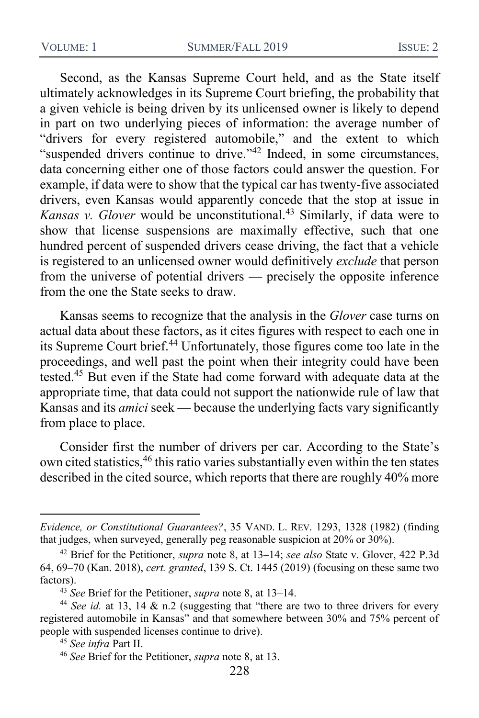Second, as the Kansas Supreme Court held, and as the State itself ultimately acknowledges in its Supreme Court briefing, the probability that a given vehicle is being driven by its unlicensed owner is likely to depend in part on two underlying pieces of information: the average number of "drivers for every registered automobile," and the extent to which "suspended drivers continue to drive."<sup>42</sup> Indeed, in some circumstances, data concerning either one of those factors could answer the question. For example, if data were to show that the typical car has twenty-five associated drivers, even Kansas would apparently concede that the stop at issue in *Kansas v. Glover* would be unconstitutional.<sup>43</sup> Similarly, if data were to show that license suspensions are maximally effective, such that one hundred percent of suspended drivers cease driving, the fact that a vehicle is registered to an unlicensed owner would definitively *exclude* that person from the universe of potential drivers — precisely the opposite inference from the one the State seeks to draw.

Kansas seems to recognize that the analysis in the *Glover* case turns on actual data about these factors, as it cites figures with respect to each one in its Supreme Court brief.<sup>44</sup> Unfortunately, those figures come too late in the proceedings, and well past the point when their integrity could have been tested.<sup>45</sup> But even if the State had come forward with adequate data at the appropriate time, that data could not support the nationwide rule of law that Kansas and its *amici* seek — because the underlying facts vary significantly from place to place.

Consider first the number of drivers per car. According to the State's own cited statistics,<sup>46</sup> this ratio varies substantially even within the ten states described in the cited source, which reports that there are roughly 40% more

*Evidence, or Constitutional Guarantees?*, 35 VAND. L. REV. 1293, 1328 (1982) (finding that judges, when surveyed, generally peg reasonable suspicion at 20% or 30%).

<sup>42</sup> Brief for the Petitioner, *supra* note [8,](#page-4-0) at 13–14; *see also* State v. Glover, 422 P.3d 64, 69–70 (Kan. 2018), *cert. granted*, 139 S. Ct. 1445 (2019) (focusing on these same two factors).

<sup>43</sup> *See* Brief for the Petitioner, *supra* note [8,](#page-4-0) at 13–14.

<sup>&</sup>lt;sup>44</sup> *See id.* at 13, 14 & n.2 (suggesting that "there are two to three drivers for every registered automobile in Kansas" and that somewhere between 30% and 75% percent of people with suspended licenses continue to drive).

<sup>45</sup> *See infra* Part II.

<sup>46</sup> *See* Brief for the Petitioner, *supra* note [8,](#page-4-0) at 13.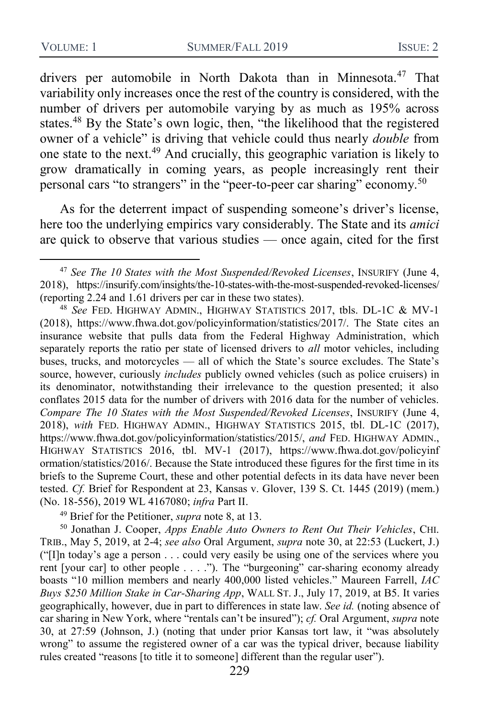<span id="page-12-0"></span>drivers per automobile in North Dakota than in Minnesota.<sup>47</sup> That variability only increases once the rest of the country is considered, with the number of drivers per automobile varying by as much as 195% across states.<sup>48</sup> By the State's own logic, then, "the likelihood that the registered owner of a vehicle" is driving that vehicle could thus nearly *double* from one state to the next.<sup>49</sup> And crucially, this geographic variation is likely to grow dramatically in coming years, as people increasingly rent their personal cars "to strangers" in the "peer-to-peer car sharing" economy.<sup>50</sup>

As for the deterrent impact of suspending someone's driver's license, here too the underlying empirics vary considerably. The State and its *amici*  are quick to observe that various studies — once again, cited for the first

<sup>49</sup> Brief for the Petitioner, *supra* note [8,](#page-4-0) at 13.

<sup>50</sup> Jonathan J. Cooper, *Apps Enable Auto Owners to Rent Out Their Vehicles*, CHI. TRIB., May 5, 2019, at 2-4; *see also* Oral Argument, *supra* note [30,](#page-9-0) at 22:53 (Luckert, J.) ("[I]n today's age a person . . . could very easily be using one of the services where you rent [your car] to other people . . . ."). The "burgeoning" car-sharing economy already boasts "10 million members and nearly 400,000 listed vehicles." Maureen Farrell, *IAC Buys \$250 Million Stake in Car-Sharing App*, WALL ST. J., July 17, 2019, at B5. It varies geographically, however, due in part to differences in state law. *See id.* (noting absence of car sharing in New York, where "rentals can't be insured"); *cf.* Oral Argument, *supra* note [30,](#page-9-0) at 27:59 (Johnson, J.) (noting that under prior Kansas tort law, it "was absolutely wrong" to assume the registered owner of a car was the typical driver, because liability rules created "reasons [to title it to someone] different than the regular user").

<sup>47</sup> *See The 10 States with the Most Suspended/Revoked Licenses*, INSURIFY (June 4, 2018), https://insurify.com/insights/the-10-states-with-the-most-suspended-revoked-licenses/ (reporting 2.24 and 1.61 drivers per car in these two states).

<sup>48</sup> *See* FED. HIGHWAY ADMIN., HIGHWAY STATISTICS 2017, tbls. DL-1C & MV-1 (2018), https://www.fhwa.dot.gov/policyinformation/statistics/2017/. The State cites an insurance website that pulls data from the Federal Highway Administration, which separately reports the ratio per state of licensed drivers to *all* motor vehicles, including buses, trucks, and motorcycles — all of which the State's source excludes. The State's source, however, curiously *includes* publicly owned vehicles (such as police cruisers) in its denominator, notwithstanding their irrelevance to the question presented; it also conflates 2015 data for the number of drivers with 2016 data for the number of vehicles. *Compare The 10 States with the Most Suspended/Revoked Licenses*, INSURIFY (June 4, 2018), *with* FED. HIGHWAY ADMIN., HIGHWAY STATISTICS 2015, tbl. DL-1C (2017), https://www.fhwa.dot.gov/policyinformation/statistics/2015/, *and* FED. HIGHWAY ADMIN., HIGHWAY STATISTICS 2016, tbl. MV-1 (2017), https://www.fhwa.dot.gov/policyinf ormation/statistics/2016/. Because the State introduced these figures for the first time in its briefs to the Supreme Court, these and other potential defects in its data have never been tested. *Cf.* Brief for Respondent at 23, Kansas v. Glover, 139 S. Ct. 1445 (2019) (mem.) (No. 18-556), 2019 WL 4167080; *infra* Part II.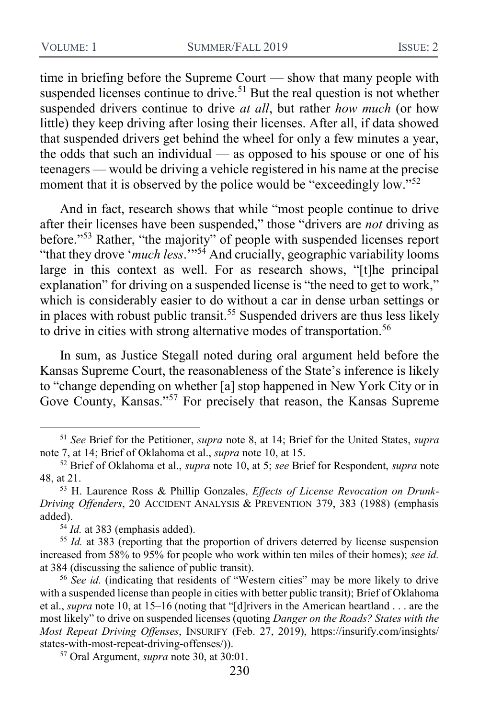time in briefing before the Supreme Court — show that many people with suspended licenses continue to drive.<sup>51</sup> But the real question is not whether suspended drivers continue to drive *at all*, but rather *how much* (or how little) they keep driving after losing their licenses. After all, if data showed that suspended drivers get behind the wheel for only a few minutes a year, the odds that such an individual — as opposed to his spouse or one of his teenagers — would be driving a vehicle registered in his name at the precise moment that it is observed by the police would be "exceedingly low."<sup>52</sup>

And in fact, research shows that while "most people continue to drive after their licenses have been suspended," those "drivers are *not* driving as before."<sup>53</sup> Rather, "the majority" of people with suspended licenses report "that they drove '*much less*.'"<sup>54</sup> And crucially, geographic variability looms large in this context as well. For as research shows, "[t]he principal explanation" for driving on a suspended license is "the need to get to work," which is considerably easier to do without a car in dense urban settings or in places with robust public transit.<sup>55</sup> Suspended drivers are thus less likely to drive in cities with strong alternative modes of transportation.<sup>56</sup>

In sum, as Justice Stegall noted during oral argument held before the Kansas Supreme Court, the reasonableness of the State's inference is likely to "change depending on whether [a] stop happened in New York City or in Gove County, Kansas."<sup>57</sup> For precisely that reason, the Kansas Supreme

<sup>51</sup> *See* Brief for the Petitioner, *supra* note [8,](#page-4-0) at 14; Brief for the United States, *supra*  not[e 7,](#page-4-2) at 14; Brief of Oklahoma et al., *supra* note [10,](#page-4-1) at 15.

<sup>52</sup> Brief of Oklahoma et al., *supra* note [10,](#page-4-1) at 5; *see* Brief for Respondent, *supra* note [48,](#page-12-0) at 21.

<sup>53</sup> H. Laurence Ross & Phillip Gonzales, *Effects of License Revocation on Drunk-Driving Offenders*, 20 ACCIDENT ANALYSIS & PREVENTION 379, 383 (1988) (emphasis added).

 $54$  *Id.* at 383 (emphasis added).

<sup>55</sup> *Id.* at 383 (reporting that the proportion of drivers deterred by license suspension increased from 58% to 95% for people who work within ten miles of their homes); *see id.*  at 384 (discussing the salience of public transit).

<sup>&</sup>lt;sup>56</sup> See id. (indicating that residents of "Western cities" may be more likely to drive with a suspended license than people in cities with better public transit); Brief of Oklahoma et al., *supra* note [10,](#page-4-1) at 15–16 (noting that "[d]rivers in the American heartland . . . are the most likely" to drive on suspended licenses (quoting *Danger on the Roads? States with the Most Repeat Driving Offenses*, INSURIFY (Feb. 27, 2019), https://insurify.com/insights/ states-with-most-repeat-driving-offenses/)).

<sup>57</sup> Oral Argument, *supra* note [30,](#page-9-0) at 30:01.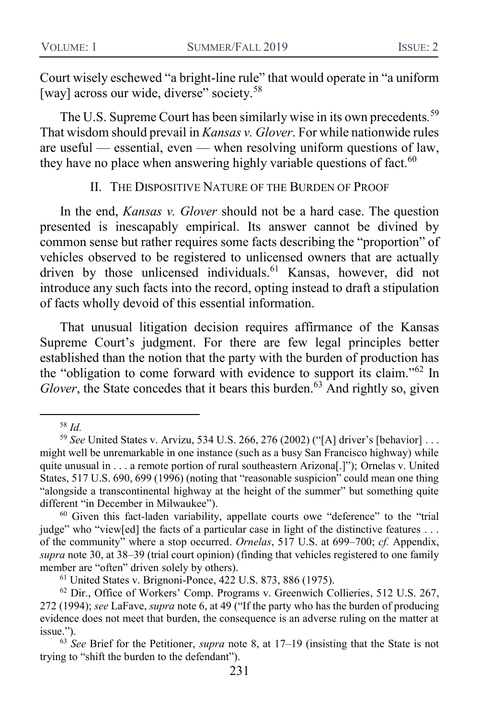Court wisely eschewed "a bright-line rule" that would operate in "a uniform [way] across our wide, diverse" society.<sup>58</sup>

The U.S. Supreme Court has been similarly wise in its own precedents*.* 59 That wisdom should prevail in *Kansas v. Glover*. For while nationwide rules are useful — essential, even — when resolving uniform questions of law, they have no place when answering highly variable questions of fact. $60$ 

II. THE DISPOSITIVE NATURE OF THE BURDEN OF PROOF

In the end, *Kansas v. Glover* should not be a hard case. The question presented is inescapably empirical. Its answer cannot be divined by common sense but rather requires some facts describing the "proportion" of vehicles observed to be registered to unlicensed owners that are actually driven by those unlicensed individuals.<sup>61</sup> Kansas, however, did not introduce any such facts into the record, opting instead to draft a stipulation of facts wholly devoid of this essential information.

That unusual litigation decision requires affirmance of the Kansas Supreme Court's judgment. For there are few legal principles better established than the notion that the party with the burden of production has the "obligation to come forward with evidence to support its claim."<sup>62</sup> In *Glover*, the State concedes that it bears this burden.<sup>63</sup> And rightly so, given

<sup>58</sup> *Id.*

<sup>59</sup> *See* United States v. Arvizu, 534 U.S. 266, 276 (2002) ("[A] driver's [behavior] . . . might well be unremarkable in one instance (such as a busy San Francisco highway) while quite unusual in . . . a remote portion of rural southeastern Arizona[.]"); Ornelas v. United States, 517 U.S. 690, 699 (1996) (noting that "reasonable suspicion" could mean one thing "alongside a transcontinental highway at the height of the summer" but something quite different "in December in Milwaukee").

<sup>60</sup> Given this fact-laden variability, appellate courts owe "deference" to the "trial judge" who "view[ed] the facts of a particular case in light of the distinctive features . . . of the community" where a stop occurred. *Ornelas*, 517 U.S. at 699–700; *cf.* Appendix, *supra* note [30,](#page-9-0) at 38–39 (trial court opinion) (finding that vehicles registered to one family member are "often" driven solely by others).

<sup>61</sup> United States v. Brignoni-Ponce, 422 U.S. 873, 886 (1975).

<sup>62</sup> Dir., Office of Workers' Comp. Programs v. Greenwich Collieries, 512 U.S. 267, 272 (1994); *see* LaFave, *supra* not[e 6,](#page-4-3) at 49 ("If the party who has the burden of producing evidence does not meet that burden, the consequence is an adverse ruling on the matter at issue.").

<sup>63</sup> *See* Brief for the Petitioner, *supra* note [8,](#page-4-0) at 17–19 (insisting that the State is not trying to "shift the burden to the defendant").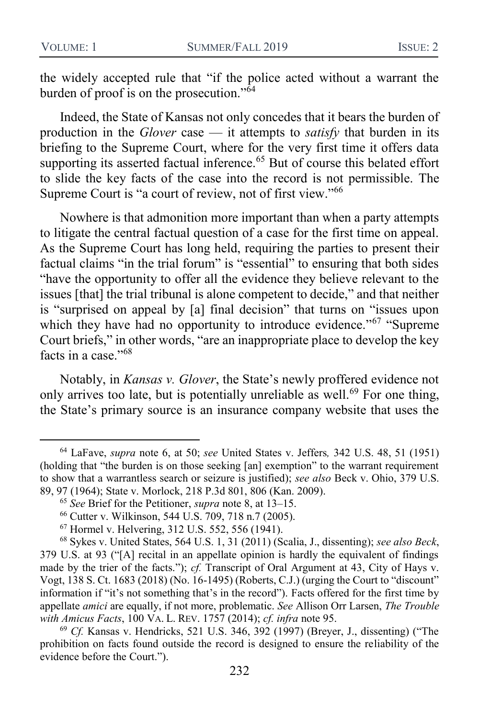the widely accepted rule that "if the police acted without a warrant the burden of proof is on the prosecution."<sup>64</sup>

Indeed, the State of Kansas not only concedes that it bears the burden of production in the *Glover* case — it attempts to *satisfy* that burden in its briefing to the Supreme Court, where for the very first time it offers data supporting its asserted factual inference.<sup>65</sup> But of course this belated effort to slide the key facts of the case into the record is not permissible. The Supreme Court is "a court of review, not of first view."<sup>66</sup>

Nowhere is that admonition more important than when a party attempts to litigate the central factual question of a case for the first time on appeal. As the Supreme Court has long held, requiring the parties to present their factual claims "in the trial forum" is "essential" to ensuring that both sides "have the opportunity to offer all the evidence they believe relevant to the issues [that] the trial tribunal is alone competent to decide," and that neither is "surprised on appeal by [a] final decision" that turns on "issues upon which they have had no opportunity to introduce evidence."<sup>67</sup> "Supreme Court briefs," in other words, "are an inappropriate place to develop the key facts in a case."<sup>68</sup>

Notably, in *Kansas v. Glover*, the State's newly proffered evidence not only arrives too late, but is potentially unreliable as well.<sup>69</sup> For one thing, the State's primary source is an insurance company website that uses the

<sup>64</sup> LaFave, *supra* note [6,](#page-4-3) at 50; *see* United States v. Jeffers*,* 342 U.S. 48, 51 (1951) (holding that "the burden is on those seeking [an] exemption" to the warrant requirement to show that a warrantless search or seizure is justified); *see also* Beck v. Ohio, 379 U.S. 89, 97 (1964); State v. Morlock, 218 P.3d 801, 806 (Kan. 2009).

<sup>65</sup> *See* Brief for the Petitioner, *supra* note [8,](#page-4-0) at 13–15.

<sup>66</sup> Cutter v. Wilkinson, 544 U.S. 709, 718 n.7 (2005).

<sup>67</sup> Hormel v. Helvering, 312 U.S. 552, 556 (1941).

<sup>68</sup> Sykes v. United States, 564 U.S. 1, 31 (2011) (Scalia, J., dissenting); *see also Beck*, 379 U.S. at 93 ("[A] recital in an appellate opinion is hardly the equivalent of findings made by the trier of the facts."); *cf.* Transcript of Oral Argument at 43, City of Hays v. Vogt, 138 S. Ct. 1683 (2018) (No. 16-1495) (Roberts, C.J.) (urging the Court to "discount" information if "it's not something that's in the record"). Facts offered for the first time by appellate *amici* are equally, if not more, problematic. *See* Allison Orr Larsen, *The Trouble with Amicus Facts*, 100 VA. L. REV. 1757 (2014); *cf. infra* note 95.

<sup>69</sup> *Cf.* Kansas v. Hendricks, 521 U.S. 346, 392 (1997) (Breyer, J., dissenting) ("The prohibition on facts found outside the record is designed to ensure the reliability of the evidence before the Court.").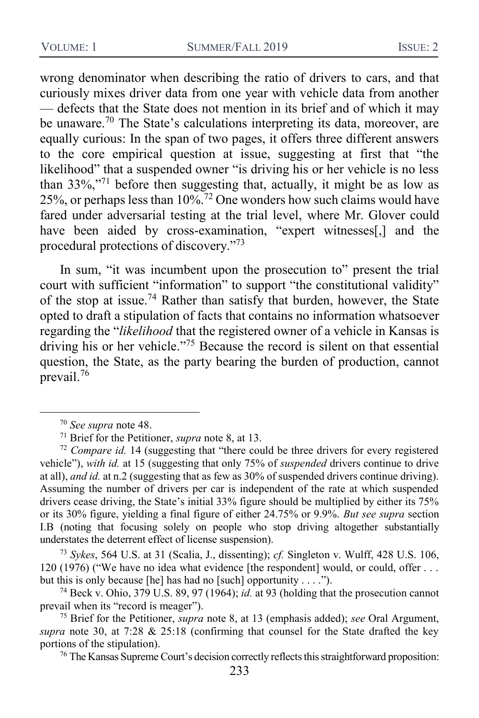wrong denominator when describing the ratio of drivers to cars, and that curiously mixes driver data from one year with vehicle data from another — defects that the State does not mention in its brief and of which it may be unaware.<sup>70</sup> The State's calculations interpreting its data, moreover, are equally curious: In the span of two pages, it offers three different answers to the core empirical question at issue, suggesting at first that "the likelihood" that a suspended owner "is driving his or her vehicle is no less than  $33\%$ ,"<sup>71</sup> before then suggesting that, actually, it might be as low as 25%, or perhaps less than  $10\frac{\sqrt{2}}{2}$  One wonders how such claims would have fared under adversarial testing at the trial level, where Mr. Glover could have been aided by cross-examination, "expert witnesses<sup>[1]</sup>, and the procedural protections of discovery."<sup>73</sup>

In sum, "it was incumbent upon the prosecution to" present the trial court with sufficient "information" to support "the constitutional validity" of the stop at issue.<sup>74</sup> Rather than satisfy that burden, however, the State opted to draft a stipulation of facts that contains no information whatsoever regarding the "*likelihood* that the registered owner of a vehicle in Kansas is driving his or her vehicle."<sup>75</sup> Because the record is silent on that essential question, the State, as the party bearing the burden of production, cannot prevail.<sup>76</sup>

 $\overline{a}$ 

<sup>73</sup> *Sykes*, 564 U.S. at 31 (Scalia, J., dissenting); *cf.* Singleton v. Wulff, 428 U.S. 106, 120 (1976) ("We have no idea what evidence [the respondent] would, or could, offer . . . but this is only because [he] has had no [such] opportunity  $\dots$  .").

<sup>74</sup> Beck v. Ohio, 379 U.S. 89, 97 (1964); *id.* at 93 (holding that the prosecution cannot prevail when its "record is meager").

<sup>75</sup> Brief for the Petitioner, *supra* note [8,](#page-4-0) at 13 (emphasis added); *see* Oral Argument, *supra* note [30,](#page-9-0) at 7:28 & 25:18 (confirming that counsel for the State drafted the key portions of the stipulation).

<sup>76</sup> The Kansas Supreme Court's decision correctly reflects this straightforward proposition:

<sup>70</sup> *See supra* note [48.](#page-12-0)

<sup>71</sup> Brief for the Petitioner, *supra* note [8,](#page-4-0) at 13.

<sup>72</sup> *Compare id.* 14 (suggesting that "there could be three drivers for every registered vehicle"), *with id.* at 15 (suggesting that only 75% of *suspended* drivers continue to drive at all), *and id.* at n.2 (suggesting that as few as 30% of suspended drivers continue driving). Assuming the number of drivers per car is independent of the rate at which suspended drivers cease driving, the State's initial 33% figure should be multiplied by either its 75% or its 30% figure, yielding a final figure of either 24.75% or 9.9%. *But see supra* section I.B (noting that focusing solely on people who stop driving altogether substantially understates the deterrent effect of license suspension).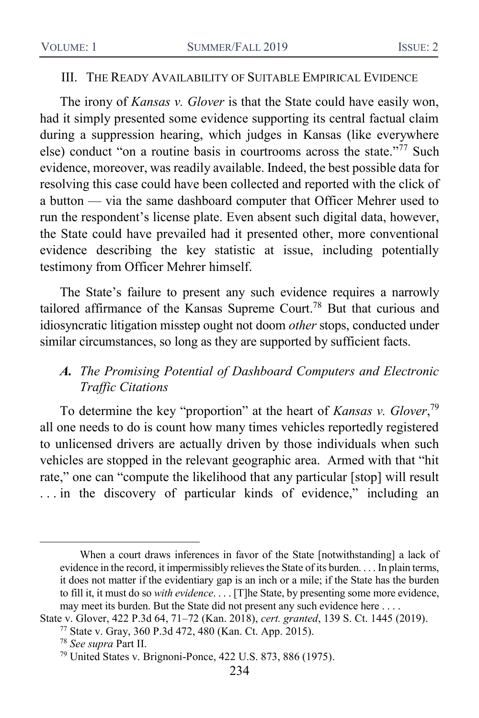#### III. THE READY AVAILABILITY OF SUITABLE EMPIRICAL EVIDENCE

The irony of *Kansas v. Glover* is that the State could have easily won, had it simply presented some evidence supporting its central factual claim during a suppression hearing, which judges in Kansas (like everywhere else) conduct "on a routine basis in courtrooms across the state."<sup>77</sup> Such evidence, moreover, was readily available. Indeed, the best possible data for resolving this case could have been collected and reported with the click of a button — via the same dashboard computer that Officer Mehrer used to run the respondent's license plate. Even absent such digital data, however, the State could have prevailed had it presented other, more conventional evidence describing the key statistic at issue, including potentially testimony from Officer Mehrer himself.

The State's failure to present any such evidence requires a narrowly tailored affirmance of the Kansas Supreme Court.<sup>78</sup> But that curious and idiosyncratic litigation misstep ought not doom *other* stops, conducted under similar circumstances, so long as they are supported by sufficient facts.

### *A. The Promising Potential of Dashboard Computers and Electronic Traffic Citations*

To determine the key "proportion" at the heart of *Kansas v. Glover*, 79 all one needs to do is count how many times vehicles reportedly registered to unlicensed drivers are actually driven by those individuals when such vehicles are stopped in the relevant geographic area. Armed with that "hit rate," one can "compute the likelihood that any particular [stop] will result ... in the discovery of particular kinds of evidence," including an

When a court draws inferences in favor of the State [notwithstanding] a lack of evidence in the record, it impermissibly relieves the State of its burden. . . . In plain terms, it does not matter if the evidentiary gap is an inch or a mile; if the State has the burden to fill it, it must do so *with evidence*. . . . [T]he State, by presenting some more evidence, may meet its burden. But the State did not present any such evidence here . . . .

State v. Glover, 422 P.3d 64, 71–72 (Kan. 2018), *cert. granted*, 139 S. Ct. 1445 (2019).

<sup>77</sup> State v. Gray, 360 P.3d 472, 480 (Kan. Ct. App. 2015).

<sup>78</sup> *See supra* Part II.

<sup>79</sup> United States v. Brignoni-Ponce, 422 U.S. 873, 886 (1975).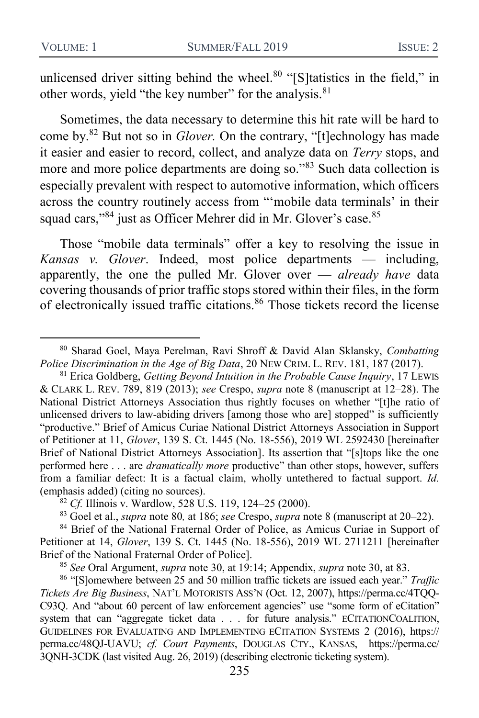<span id="page-18-1"></span><span id="page-18-0"></span>unlicensed driver sitting behind the wheel. $80$  "[S]tatistics in the field," in other words, yield "the key number" for the analysis.<sup>81</sup>

Sometimes, the data necessary to determine this hit rate will be hard to come by.<sup>82</sup> But not so in *Glover.* On the contrary, "[t]echnology has made it easier and easier to record, collect, and analyze data on *Terry* stops, and more and more police departments are doing so."83 Such data collection is especially prevalent with respect to automotive information, which officers across the country routinely access from "'mobile data terminals' in their squad cars,"84 just as Officer Mehrer did in Mr. Glover's case.<sup>85</sup>

<span id="page-18-2"></span>Those "mobile data terminals" offer a key to resolving the issue in *Kansas v. Glover*. Indeed, most police departments — including, apparently, the one the pulled Mr. Glover over — *already have* data covering thousands of prior traffic stops stored within their files, in the form of electronically issued traffic citations.<sup>86</sup> Those tickets record the license

<sup>80</sup> Sharad Goel, Maya Perelman, Ravi Shroff & David Alan Sklansky, *Combatting Police Discrimination in the Age of Big Data*, 20 NEW CRIM. L. REV. 181, 187 (2017).

<sup>81</sup> Erica Goldberg, *Getting Beyond Intuition in the Probable Cause Inquiry*, 17 LEWIS & CLARK L. REV. 789, 819 (2013); *see* Crespo, *supra* note [8](#page-4-0) (manuscript at 12–28). The National District Attorneys Association thus rightly focuses on whether "[t]he ratio of unlicensed drivers to law-abiding drivers [among those who are] stopped" is sufficiently "productive." Brief of Amicus Curiae National District Attorneys Association in Support of Petitioner at 11, *Glover*, 139 S. Ct. 1445 (No. 18-556), 2019 WL 2592430 [hereinafter Brief of National District Attorneys Association]. Its assertion that "[s]tops like the one performed here . . . are *dramatically more* productive" than other stops, however, suffers from a familiar defect: It is a factual claim, wholly untethered to factual support. *Id.*  (emphasis added) (citing no sources).

<sup>82</sup> *Cf.* Illinois v. Wardlow, 528 U.S. 119, 124–25 (2000).

<sup>83</sup> Goel et al., *supra* note [80](#page-18-0)*,* at 186; *see* Crespo, *supra* note [8](#page-4-0) (manuscript at 20–22).

<sup>84</sup> Brief of the National Fraternal Order of Police, as Amicus Curiae in Support of Petitioner at 14, *Glover*, 139 S. Ct. 1445 (No. 18-556), 2019 WL 2711211 [hereinafter Brief of the National Fraternal Order of Police].

<sup>85</sup> *See* Oral Argument, *supra* note [30,](#page-9-0) at 19:14; Appendix, *supra* note [30,](#page-9-0) at 83.

<sup>86</sup> "[S]omewhere between 25 and 50 million traffic tickets are issued each year." *Traffic Tickets Are Big Business*, NAT'L MOTORISTS ASS'N (Oct. 12, 2007), https://perma.cc/4TQQ-C93Q. And "about 60 percent of law enforcement agencies" use "some form of eCitation" system that can "aggregate ticket data . . . for future analysis." ECITATIONCOALITION, GUIDELINES FOR EVALUATING AND IMPLEMENTING ECITATION SYSTEMS 2 (2016), https:// perma.cc/48QJ-UAVU; *cf. Court Payments*, DOUGLAS CTY., KANSAS, https://perma.cc/ 3QNH-3CDK (last visited Aug. 26, 2019) (describing electronic ticketing system).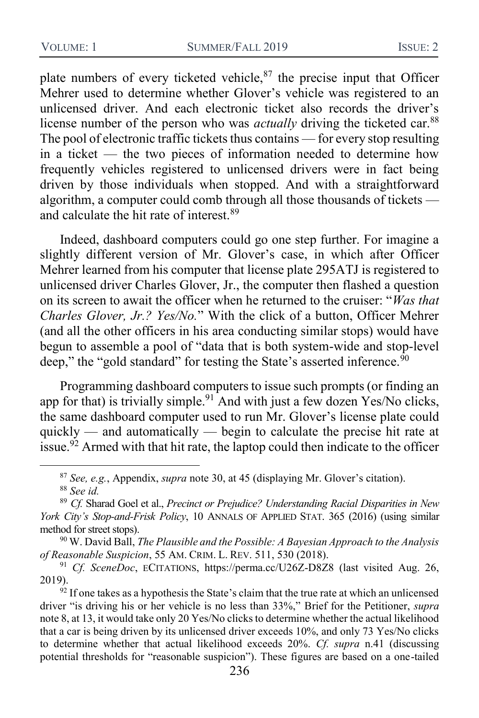plate numbers of every ticketed vehicle, $87$  the precise input that Officer Mehrer used to determine whether Glover's vehicle was registered to an unlicensed driver. And each electronic ticket also records the driver's license number of the person who was *actually* driving the ticketed car.<sup>88</sup> The pool of electronic traffic tickets thus contains — for every stop resulting in a ticket — the two pieces of information needed to determine how frequently vehicles registered to unlicensed drivers were in fact being driven by those individuals when stopped. And with a straightforward algorithm, a computer could comb through all those thousands of tickets and calculate the hit rate of interest.<sup>89</sup>

Indeed, dashboard computers could go one step further. For imagine a slightly different version of Mr. Glover's case, in which after Officer Mehrer learned from his computer that license plate 295ATJ is registered to unlicensed driver Charles Glover, Jr., the computer then flashed a question on its screen to await the officer when he returned to the cruiser: "*Was that Charles Glover, Jr.? Yes/No.*" With the click of a button, Officer Mehrer (and all the other officers in his area conducting similar stops) would have begun to assemble a pool of "data that is both system-wide and stop-level deep," the "gold standard" for testing the State's asserted inference. $90$ 

Programming dashboard computers to issue such prompts (or finding an app for that) is trivially simple.<sup>91</sup> And with just a few dozen Yes/No clicks, the same dashboard computer used to run Mr. Glover's license plate could quickly — and automatically — begin to calculate the precise hit rate at issue.<sup>92</sup> Armed with that hit rate, the laptop could then indicate to the officer

<sup>90</sup> W. David Ball, *The Plausible and the Possible: A Bayesian Approach to the Analysis of Reasonable Suspicion*, 55 AM. CRIM. L. REV. 511, 530 (2018).

<span id="page-19-0"></span><sup>87</sup> *See, e.g.*, Appendix, *supra* not[e 30,](#page-9-0) at 45 (displaying Mr. Glover's citation). <sup>88</sup> *See id.*

<sup>89</sup> *Cf.* Sharad Goel et al., *Precinct or Prejudice? Understanding Racial Disparities in New York City's Stop-and-Frisk Policy*, 10 ANNALS OF APPLIED STAT. 365 (2016) (using similar method for street stops).

<sup>91</sup> *Cf. SceneDoc*, ECITATIONS, https://perma.cc/U26Z-D8Z8 (last visited Aug. 26, 2019).

 $92$  If one takes as a hypothesis the State's claim that the true rate at which an unlicensed driver "is driving his or her vehicle is no less than 33%," Brief for the Petitioner, *supra*  not[e 8,](#page-4-0) at 13, it would take only 20 Yes/No clicks to determine whether the actual likelihood that a car is being driven by its unlicensed driver exceeds 10%, and only 73 Yes/No clicks to determine whether that actual likelihood exceeds 20%. *Cf. supra* [n.41](#page-10-0) (discussing potential thresholds for "reasonable suspicion"). These figures are based on a one-tailed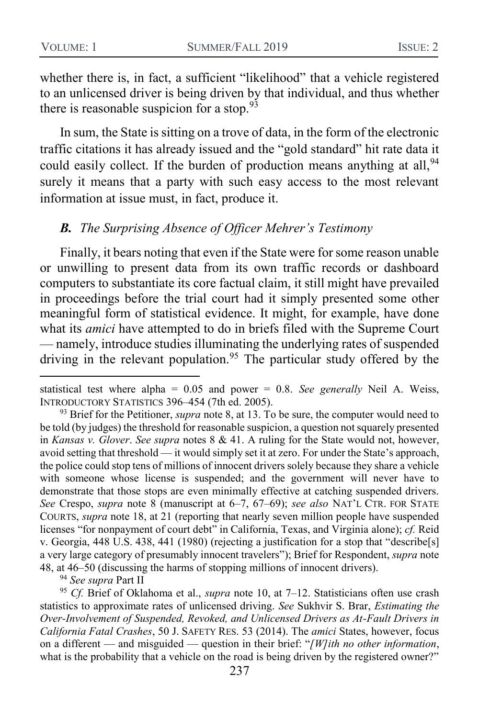whether there is, in fact, a sufficient "likelihood" that a vehicle registered to an unlicensed driver is being driven by that individual, and thus whether there is reasonable suspicion for a stop.  $93$ 

In sum, the State is sitting on a trove of data, in the form of the electronic traffic citations it has already issued and the "gold standard" hit rate data it could easily collect. If the burden of production means anything at all, <sup>94</sup> surely it means that a party with such easy access to the most relevant information at issue must, in fact, produce it.

#### *B. The Surprising Absence of Officer Mehrer's Testimony*

Finally, it bears noting that even if the State were for some reason unable or unwilling to present data from its own traffic records or dashboard computers to substantiate its core factual claim, it still might have prevailed in proceedings before the trial court had it simply presented some other meaningful form of statistical evidence. It might, for example, have done what its *amici* have attempted to do in briefs filed with the Supreme Court — namely, introduce studies illuminating the underlying rates of suspended driving in the relevant population.<sup>95</sup> The particular study offered by the

<sup>94</sup> *See supra* Part II

statistical test where alpha = 0.05 and power = 0.8. *See generally* Neil A. Weiss, INTRODUCTORY STATISTICS 396–454 (7th ed. 2005).

<sup>93</sup> Brief for the Petitioner, *supra* note [8,](#page-4-0) at 13. To be sure, the computer would need to be told (by judges) the threshold for reasonable suspicion, a question not squarely presented in *Kansas v. Glover*. *See supra* notes [8](#page-4-0) & [41.](#page-10-0) A ruling for the State would not, however, avoid setting that threshold — it would simply set it at zero. For under the State's approach, the police could stop tens of millions of innocent drivers solely because they share a vehicle with someone whose license is suspended; and the government will never have to demonstrate that those stops are even minimally effective at catching suspended drivers. *See* Crespo, *supra* note [8](#page-4-0) (manuscript at 6–7, 67–69); *see also* NAT'L CTR. FOR STATE COURTS, *supra* note [18,](#page-6-0) at 21 (reporting that nearly seven million people have suspended licenses "for nonpayment of court debt" in California, Texas, and Virginia alone); *cf.* Reid v. Georgia, 448 U.S. 438, 441 (1980) (rejecting a justification for a stop that "describe[s] a very large category of presumably innocent travelers"); Brief for Respondent, *supra* note [48,](#page-12-0) at 46–50 (discussing the harms of stopping millions of innocent drivers).

<sup>95</sup> *Cf.* Brief of Oklahoma et al., *supra* note [10,](#page-4-1) at 7–12. Statisticians often use crash statistics to approximate rates of unlicensed driving. *See* Sukhvir S. Brar, *Estimating the Over-Involvement of Suspended, Revoked, and Unlicensed Drivers as At-Fault Drivers in California Fatal Crashes*, 50 J. SAFETY RES. 53 (2014). The *amici* States, however, focus on a different — and misguided — question in their brief: "*[W]ith no other information*, what is the probability that a vehicle on the road is being driven by the registered owner?"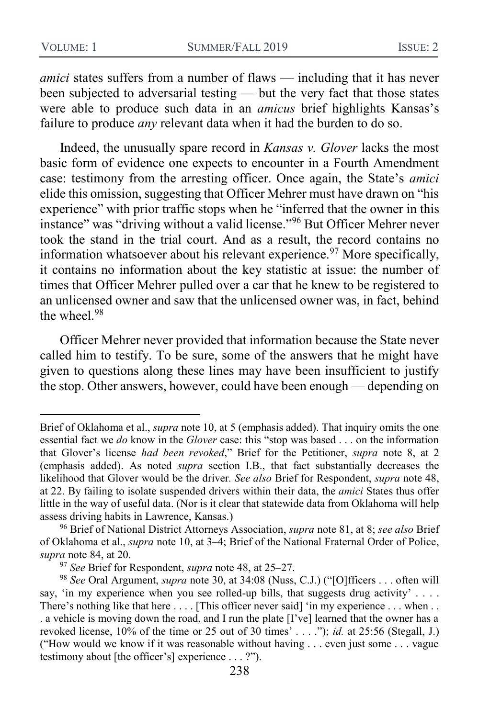*amici* states suffers from a number of flaws — including that it has never been subjected to adversarial testing — but the very fact that those states were able to produce such data in an *amicus* brief highlights Kansas's failure to produce *any* relevant data when it had the burden to do so.

Indeed, the unusually spare record in *Kansas v. Glover* lacks the most basic form of evidence one expects to encounter in a Fourth Amendment case: testimony from the arresting officer. Once again, the State's *amici*  elide this omission, suggesting that Officer Mehrer must have drawn on "his experience" with prior traffic stops when he "inferred that the owner in this instance" was "driving without a valid license."<sup>96</sup> But Officer Mehrer never took the stand in the trial court. And as a result, the record contains no information whatsoever about his relevant experience.<sup>97</sup> More specifically, it contains no information about the key statistic at issue: the number of times that Officer Mehrer pulled over a car that he knew to be registered to an unlicensed owner and saw that the unlicensed owner was, in fact, behind the wheel $.98$ 

Officer Mehrer never provided that information because the State never called him to testify. To be sure, some of the answers that he might have given to questions along these lines may have been insufficient to justify the stop. Other answers, however, could have been enough — depending on

Brief of Oklahoma et al., *supra* note [10,](#page-4-1) at 5 (emphasis added). That inquiry omits the one essential fact we *do* know in the *Glover* case: this "stop was based . . . on the information that Glover's license *had been revoked*," Brief for the Petitioner, *supra* note [8,](#page-4-0) at 2 (emphasis added). As noted *supra* section I.B., that fact substantially decreases the likelihood that Glover would be the driver*. See also* Brief for Respondent, *supra* note [48,](#page-12-0) at 22. By failing to isolate suspended drivers within their data, the *amici* States thus offer little in the way of useful data. (Nor is it clear that statewide data from Oklahoma will help assess driving habits in Lawrence, Kansas.)

<sup>96</sup> Brief of National District Attorneys Association, *supra* note [81,](#page-18-1) at 8; *see also* Brief of Oklahoma et al., *supra* note [10,](#page-4-1) at 3–4; Brief of the National Fraternal Order of Police, *supra* note [84,](#page-18-2) at 20.

<sup>97</sup> *See* Brief for Respondent, *supra* note [48,](#page-12-0) at 25–27.

<sup>98</sup> *See* Oral Argument, *supra* note [30,](#page-9-0) at 34:08 (Nuss, C.J.) ("[O]fficers . . . often will say, 'in my experience when you see rolled-up bills, that suggests drug activity' . . . . There's nothing like that here .... [This officer never said] 'in my experience ... when .. . a vehicle is moving down the road, and I run the plate [I've] learned that the owner has a revoked license, 10% of the time or 25 out of 30 times' . . . ."); *id.* at 25:56 (Stegall, J.) ("How would we know if it was reasonable without having . . . even just some . . . vague testimony about [the officer's] experience . . . ?").